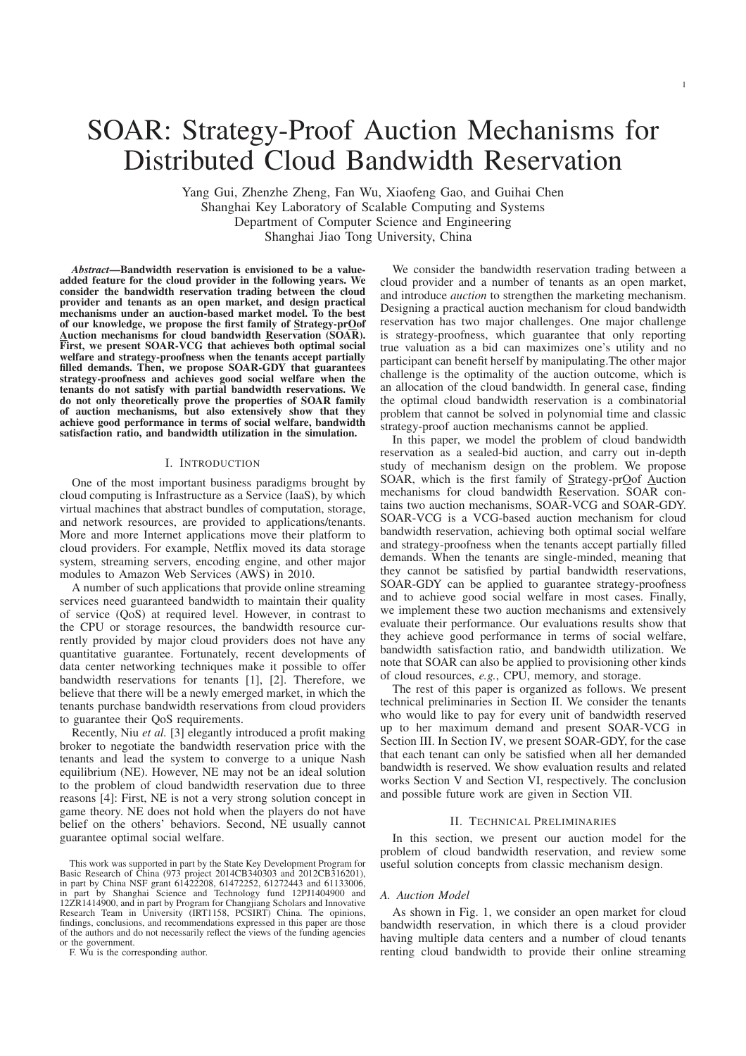Yang Gui, Zhenzhe Zheng, Fan Wu, Xiaofeng Gao, and Guihai Chen Shanghai Key Laboratory of Scalable Computing and Systems Department of Computer Science and Engineering Shanghai Jiao Tong University, China

Distributed Cloud Bandwidth Reservation

*Abstract*—Bandwidth reservation is envisioned to be a valueadded feature for the cloud provider in the following years. We consider the bandwidth reservation trading between the cloud provider and tenants as an open market, and design practical mechanisms under an auction-based market model. To the best of our knowledge, we propose the first family of Strategy-prOof Auction mechanisms for cloud bandwidth Reservation (SOAR). First, we present SOAR-VCG that achieves both optimal social welfare and strategy-proofness when the tenants accept partially filled demands. Then, we propose SOAR-GDY that guarantees strategy-proofness and achieves good social welfare when the tenants do not satisfy with partial bandwidth reservations. We do not only theoretically prove the properties of SOAR family of auction mechanisms, but also extensively show that they achieve good performance in terms of social welfare, bandwidth satisfaction ratio, and bandwidth utilization in the simulation.

# I. INTRODUCTION

One of the most important business paradigms brought by cloud computing is Infrastructure as a Service (IaaS), by which virtual machines that abstract bundles of computation, storage, and network resources, are provided to applications/tenants. More and more Internet applications move their platform to cloud providers. For example, Netflix moved its data storage system, streaming servers, encoding engine, and other major modules to Amazon Web Services (AWS) in 2010.

A number of such applications that provide online streaming services need guaranteed bandwidth to maintain their quality of service (QoS) at required level. However, in contrast to the CPU or storage resources, the bandwidth resource currently provided by major cloud providers does not have any quantitative guarantee. Fortunately, recent developments of data center networking techniques make it possible to offer bandwidth reservations for tenants [1], [2]. Therefore, we believe that there will be a newly emerged market, in which the tenants purchase bandwidth reservations from cloud providers to guarantee their QoS requirements.

Recently, Niu *et al.* [3] elegantly introduced a profit making broker to negotiate the bandwidth reservation price with the tenants and lead the system to converge to a unique Nash equilibrium (NE). However, NE may not be an ideal solution to the problem of cloud bandwidth reservation due to three reasons [4]: First, NE is not a very strong solution concept in game theory. NE does not hold when the players do not have belief on the others' behaviors. Second, NE usually cannot guarantee optimal social welfare.

F. Wu is the corresponding author.

We consider the bandwidth reservation trading between a cloud provider and a number of tenants as an open market, and introduce *auction* to strengthen the marketing mechanism. Designing a practical auction mechanism for cloud bandwidth reservation has two major challenges. One major challenge is strategy-proofness, which guarantee that only reporting true valuation as a bid can maximizes one's utility and no participant can benefit herself by manipulating.The other major challenge is the optimality of the auction outcome, which is an allocation of the cloud bandwidth. In general case, finding the optimal cloud bandwidth reservation is a combinatorial problem that cannot be solved in polynomial time and classic strategy-proof auction mechanisms cannot be applied.

In this paper, we model the problem of cloud bandwidth reservation as a sealed-bid auction, and carry out in-depth study of mechanism design on the problem. We propose SOAR, which is the first family of Strategy-prOof Auction mechanisms for cloud bandwidth Reservation. SOAR contains two auction mechanisms, SOAR-VCG and SOAR-GDY. SOAR-VCG is a VCG-based auction mechanism for cloud bandwidth reservation, achieving both optimal social welfare and strategy-proofness when the tenants accept partially filled demands. When the tenants are single-minded, meaning that they cannot be satisfied by partial bandwidth reservations, SOAR-GDY can be applied to guarantee strategy-proofness and to achieve good social welfare in most cases. Finally, we implement these two auction mechanisms and extensively evaluate their performance. Our evaluations results show that they achieve good performance in terms of social welfare, bandwidth satisfaction ratio, and bandwidth utilization. We note that SOAR can also be applied to provisioning other kinds of cloud resources, *e.g.*, CPU, memory, and storage.

The rest of this paper is organized as follows. We present technical preliminaries in Section II. We consider the tenants who would like to pay for every unit of bandwidth reserved up to her maximum demand and present SOAR-VCG in Section III. In Section IV, we present SOAR-GDY, for the case that each tenant can only be satisfied when all her demanded bandwidth is reserved. We show evaluation results and related works Section V and Section VI, respectively. The conclusion and possible future work are given in Section VII.

#### II. TECHNICAL PRELIMINARIES

In this section, we present our auction model for the problem of cloud bandwidth reservation, and review some useful solution concepts from classic mechanism design.

## *A. Auction Model*

As shown in Fig. 1, we consider an open market for cloud bandwidth reservation, in which there is a cloud provider having multiple data centers and a number of cloud tenants renting cloud bandwidth to provide their online streaming

This work was supported in part by the State Key Development Program for Basic Research of China (973 project 2014CB340303 and 2012CB316201), in part by China NSF grant 61422208, 61472252, 61272443 and 61133006, in part by Shanghai Science and Technology fund 12PJ1404900 and 12ZR1414900, and in part by Program for Changjiang Scholars and Innovative Research Team in University (IRT1158, PCSIRT) China. The opinions, findings, conclusions, and recommendations expressed in this paper are those of the authors and do not necessarily reflect the views of the funding agencies or the government.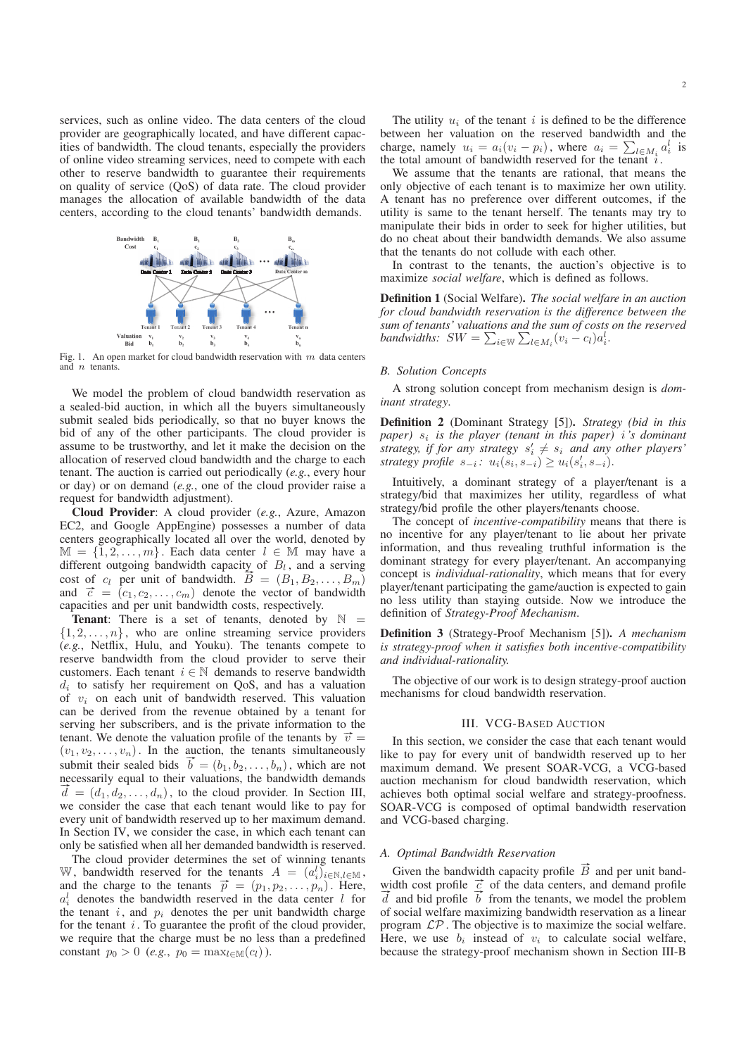services, such as online video. The data centers of the cloud provider are geographically located, and have different capacities of bandwidth. The cloud tenants, especially the providers of online video streaming services, need to compete with each other to reserve bandwidth to guarantee their requirements on quality of service (QoS) of data rate. The cloud provider manages the allocation of available bandwidth of the data centers, according to the cloud tenants' bandwidth demands.



Fig. 1. An open market for cloud bandwidth reservation with  $m$  data centers and n tenants.

We model the problem of cloud bandwidth reservation as a sealed-bid auction, in which all the buyers simultaneously submit sealed bids periodically, so that no buyer knows the bid of any of the other participants. The cloud provider is assume to be trustworthy, and let it make the decision on the allocation of reserved cloud bandwidth and the charge to each tenant. The auction is carried out periodically (*e.g.*, every hour or day) or on demand (*e.g.*, one of the cloud provider raise a request for bandwidth adjustment).

Cloud Provider: A cloud provider (*e.g.*, Azure, Amazon EC2, and Google AppEngine) possesses a number of data centers geographically located all over the world, denoted by  $M = \{1, 2, \ldots, m\}$ . Each data center  $l \in M$  may have a different outgoing bandwidth capacity of  $B_l$ , and a serving cost of  $c_l$  per unit of bandwidth.  $\vec{B} = (B_1, B_2, \ldots, B_m)$ and  $\vec{c} = (c_1, c_2, \dots, c_m)$  denote the vector of bandwidth capacities and per unit bandwidth costs, respectively.

**Tenant:** There is a set of tenants, denoted by  $\mathbb{N}$  =  $\{1, 2, \ldots, n\}$ , who are online streaming service providers (*e.g.*, Netflix, Hulu, and Youku). The tenants compete to reserve bandwidth from the cloud provider to serve their customers. Each tenant  $i \in \mathbb{N}$  demands to reserve bandwidth  $d_i$  to satisfy her requirement on QoS, and has a valuation of  $v_i$  on each unit of bandwidth reserved. This valuation can be derived from the revenue obtained by a tenant for serving her subscribers, and is the private information to the tenant. We denote the valuation profile of the tenants by  $\vec{v} =$  $(v_1, v_2, \ldots, v_n)$ . In the auction, the tenants simultaneously submit their sealed bids  $\vec{b} = (b_1, b_2, \dots, b_n)$ , which are not necessarily equal to their valuations, the bandwidth demands  $\overline{d} = (d_1, d_2, \ldots, d_n)$ , to the cloud provider. In Section III, we consider the case that each tenant would like to pay for every unit of bandwidth reserved up to her maximum demand. In Section IV, we consider the case, in which each tenant can only be satisfied when all her demanded bandwidth is reserved.

The cloud provider determines the set of winning tenants W, bandwidth reserved for the tenants  $A = (a_i^l)_{i \in \mathbb{N}, l \in \mathbb{M}}$ , and the charge to the tenants  $\vec{p} = (p_1, p_2, \ldots, p_n)$ . Here,  $a_i^l$  denotes the bandwidth reserved in the data center l for the tenant  $i$ , and  $p_i$  denotes the per unit bandwidth charge for the tenant  $i$ . To guarantee the profit of the cloud provider, we require that the charge must be no less than a predefined constant  $p_0 > 0$  (*e.g.*,  $p_0 = \max_{l \in \mathbb{M}}(c_l)$ ).

The utility  $u_i$  of the tenant i is defined to be the difference between her valuation on the reserved bandwidth and the charge, namely  $u_i = a_i(v_i - p_i)$ , where  $a_i = \sum_{l \in M_i} a_i^l$  is the total amount of bandwidth reserved for the tenant i.

We assume that the tenants are rational, that means the only objective of each tenant is to maximize her own utility. A tenant has no preference over different outcomes, if the utility is same to the tenant herself. The tenants may try to manipulate their bids in order to seek for higher utilities, but do no cheat about their bandwidth demands. We also assume that the tenants do not collude with each other.

In contrast to the tenants, the auction's objective is to maximize *social welfare*, which is defined as follows.

Definition 1 (Social Welfare). *The social welfare in an auction for cloud bandwidth reservation is the difference between the sum of tenants' valuations and the sum of costs on the reserved bandwidths:*  $SW = \sum_{i \in \mathbb{W}} \sum_{l \in M_i} (v_i - c_l) a_i^l$ .

#### *B. Solution Concepts*

A strong solution concept from mechanism design is *dominant strategy*.

Definition 2 (Dominant Strategy [5]). *Strategy (bid in this paper)* s<sup>i</sup> *is the player (tenant in this paper)* i*'s dominant* strategy, if for any strategy  $s'_i \neq s_i$  and any other players' *strategy profile*  $s_{-i}: u_i(s_i, s_{-i}) \geq u_i(s'_i, s_{-i}).$ 

Intuitively, a dominant strategy of a player/tenant is a strategy/bid that maximizes her utility, regardless of what strategy/bid profile the other players/tenants choose.

The concept of *incentive-compatibility* means that there is no incentive for any player/tenant to lie about her private information, and thus revealing truthful information is the dominant strategy for every player/tenant. An accompanying concept is *individual-rationality*, which means that for every player/tenant participating the game/auction is expected to gain no less utility than staying outside. Now we introduce the definition of *Strategy-Proof Mechanism*.

Definition 3 (Strategy-Proof Mechanism [5]). *A mechanism is strategy-proof when it satisfies both incentive-compatibility and individual-rationality.*

The objective of our work is to design strategy-proof auction mechanisms for cloud bandwidth reservation.

# III. VCG-BASED AUCTION

In this section, we consider the case that each tenant would like to pay for every unit of bandwidth reserved up to her maximum demand. We present SOAR-VCG, a VCG-based auction mechanism for cloud bandwidth reservation, which achieves both optimal social welfare and strategy-proofness. SOAR-VCG is composed of optimal bandwidth reservation and VCG-based charging.

### *A. Optimal Bandwidth Reservation*

Given the bandwidth capacity profile  $\overrightarrow{B}$  and per unit bandwidth cost profile  $\vec{c}$  of the data centers, and demand profile  $\vec{d}$  and bid profile  $\vec{b}$  from the tenants, we model the problem of social welfare maximizing bandwidth reservation as a linear program  $\mathcal{LP}$ . The objective is to maximize the social welfare. Here, we use  $b_i$  instead of  $v_i$  to calculate social welfare, because the strategy-proof mechanism shown in Section III-B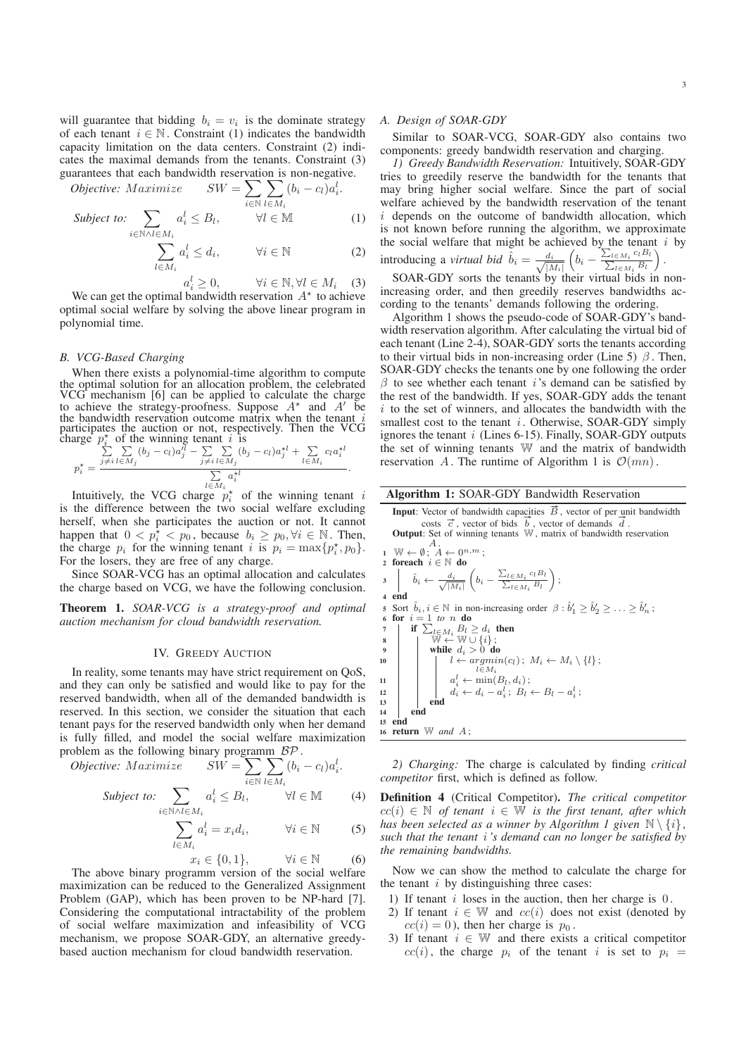will guarantee that bidding  $b_i = v_i$  is the dominate strategy of each tenant  $i \in \mathbb{N}$ . Constraint (1) indicates the bandwidth capacity limitation on the data centers. Constraint (2) indicates the maximal demands from the tenants. Constraint (3) guarantees that each bandwidth reservation is non-negative.

$$
Objective: Maximize \t SW = \sum_{i \in \mathbb{N}} \sum_{l \in M_i} (b_i - c_l) a_i^l.
$$

$$
\text{Subject to: } \sum_{i \in \mathbb{N} \land l \in M_i} a_i^l \leq B_l, \qquad \forall l \in \mathbb{M} \tag{1}
$$

$$
\sum_{l \in M_i} a_i^l \le d_i, \qquad \forall i \in \mathbb{N} \tag{2}
$$

$$
a_i^l \ge 0, \qquad \forall i \in \mathbb{N}, \forall l \in M_i \quad (3)
$$

 $a_i^l \geq 0, \qquad \forall i \in \mathbb{N}, \forall l \in M_i \quad (3)$ <br>We can get the optimal bandwidth reservation  $A^*$  to achieve optimal social welfare by solving the above linear program in polynomial time.

### *B. VCG-Based Charging*

When there exists a polynomial-time algorithm to compute the optimal solution for an allocation problem, the celebrated VCG mechanism [6] can be applied to calculate the charge to achieve the strategy-proofness. Suppose  $A^*$  and  $A'$  be the bandwidth reservation outcome matrix when the tenant  $i$  participates the auction or not, respectively. Then the VCG charge  $p_i^*$  of the winning tenant i is

$$
p_i^* = \frac{\sum\limits_{j \neq i}^{r_i} \sum\limits_{l \in M_j} (b_j - c_l) a_j^{rl} - \sum\limits_{j \neq i}^{r_i} \sum\limits_{l \in M_j} (b_j - c_l) a_j^{rl} + \sum\limits_{l \in M_i}^{r_i} c_l a_i^{rl}}{\sum\limits_{l \in M_i} a_i^{rl}}.
$$

Intuitively, the VCG charge  $p_i^*$  of the winning tenant i is the difference between the two social welfare excluding herself, when she participates the auction or not. It cannot happen that  $0 \le p_i^* \le p_0$ , because  $b_i \ge p_0, \forall i \in \mathbb{N}$ . Then, the charge  $p_i$  for the winning tenant i is  $p_i = \max\{p_i^*, p_0\}.$ For the losers, they are free of any charge.

Since SOAR-VCG has an optimal allocation and calculates the charge based on VCG, we have the following conclusion.

Theorem 1. *SOAR-VCG is a strategy-proof and optimal auction mechanism for cloud bandwidth reservation.*

### IV. GREEDY AUCTION

In reality, some tenants may have strict requirement on QoS, and they can only be satisfied and would like to pay for the reserved bandwidth, when all of the demanded bandwidth is reserved. In this section, we consider the situation that each tenant pays for the reserved bandwidth only when her demand is fully filled, and model the social welfare maximization problem as the following binary programm BP .

$$
Objective: Maximize \t SW = \sum \sum (b_i - c_l) a_i^l.
$$

$$
Subject\ to:\sum_{i\in\mathbb{N}\land l\in M_i}a_i^l\leq B_l,\qquad\forall l\in\mathbb{M}\tag{4}
$$

$$
\sum_{l \in M_i} a_i^l = x_i d_i, \qquad \forall i \in \mathbb{N} \tag{5}
$$

$$
x_i \in \{0, 1\}, \qquad \forall i \in \mathbb{N} \tag{6}
$$

The above binary programm version of the social welfare maximization can be reduced to the Generalized Assignment Problem (GAP), which has been proven to be NP-hard [7]. Considering the computational intractability of the problem of social welfare maximization and infeasibility of VCG mechanism, we propose SOAR-GDY, an alternative greedybased auction mechanism for cloud bandwidth reservation.

# *A. Design of SOAR-GDY*

Similar to SOAR-VCG, SOAR-GDY also contains two components: greedy bandwidth reservation and charging.

*1) Greedy Bandwidth Reservation:* Intuitively, SOAR-GDY tries to greedily reserve the bandwidth for the tenants that may bring higher social welfare. Since the part of social welfare achieved by the bandwidth reservation of the tenant  $i$  depends on the outcome of bandwidth allocation, which is not known before running the algorithm, we approximate the social welfare that might be achieved by the tenant  $i$  by introducing a *virtual bid*  $\hat{b}_i = \frac{d_i}{\sqrt{|\lambda|}}$  $|M_i|$  $\left(b_i - \frac{\sum_{l \in M_i}}{\sum_{l \in M_i}}\right)$  $c_lB_l$  $\frac{\epsilon M_i^{\ \ c_l B_l}{\epsilon M_i^{\ \ B_l}}\big )$ .

SOAR-GDY sorts the tenants by their virtual bids in nonincreasing order, and then greedily reserves bandwidths according to the tenants' demands following the ordering.

Algorithm 1 shows the pseudo-code of SOAR-GDY's bandwidth reservation algorithm. After calculating the virtual bid of each tenant (Line 2-4), SOAR-GDY sorts the tenants according to their virtual bids in non-increasing order (Line 5)  $\beta$ . Then, SOAR-GDY checks the tenants one by one following the order  $\beta$  to see whether each tenant *i*'s demand can be satisfied by the rest of the bandwidth. If yes, SOAR-GDY adds the tenant  $i$  to the set of winners, and allocates the bandwidth with the smallest cost to the tenant  $i$ . Otherwise, SOAR-GDY simply ignores the tenant  $i$  (Lines 6-15). Finally, SOAR-GDY outputs the set of winning tenants W and the matrix of bandwidth reservation A. The runtime of Algorithm 1 is  $\mathcal{O}(mn)$ .

### Algorithm 1: SOAR-GDY Bandwidth Reservation

**Input**: Vector of bandwidth capacities  $\vec{B}$ , vector of per unit bandwidth **comput:** Vector of bandwidth capacities  $B$ , vector of per unit bandwidth costs  $\vec{c}$ , vector of bids  $\vec{b}$ , vector of demands  $\vec{d}$ .<br>**Output:** Set of winning tenants W, matrix of bandwidth reservation  $A$ .

1 
$$
\mathbb{W} \leftarrow \emptyset
$$
;  $A \leftarrow 0^{n,m}$ ; **2 for** each  $i \in \mathbb{N}$  **do**  $\hat{b}_i \leftarrow \frac{d_i}{\sqrt{|M_i|}} \left( b_i - \frac{\sum_{l \in M_i} c_l B_l}{\sum_{l \in M_i} B_l} \right);$  **4 end 5 Sort**  $\hat{b}_i, i \in \mathbb{N}$  in non-increasing order  $\beta : \hat{b}'_1 \geq \hat{b}'_2 \geq \ldots \geq \hat{b}'_n$ ; **6 for**  $i = 1$  to *n* **do 7 if**  $\sum_{l \in M_i} B_l \geq d_i$  **then 8 while**  $d_i > 0$  **do while**  $d_i > 0$  **do**  $l \leftarrow argmin(c_l); M_i \leftarrow M_i \setminus \{l\};$   $l \in M_i$   $a'_i \leftarrow \min(B_l, d_i); d_i \leftarrow d_i - a'_i; B_l \leftarrow B_l - a'_i;$  **end is end 16 return**  $\mathbb{W}$  **and**  $A$ ;

*2) Charging:* The charge is calculated by finding *critical competitor* first, which is defined as follow.

Definition 4 (Critical Competitor). *The critical competitor*  $cc(i) \in \mathbb{N}$  *of tenant*  $i \in \mathbb{W}$  *is the first tenant, after which has been selected as a winner by Algorithm 1 given*  $\mathbb{N} \setminus \{i\}$ , *such that the tenant* i*'s demand can no longer be satisfied by the remaining bandwidths.*

Now we can show the method to calculate the charge for the tenant  $i$  by distinguishing three cases:

- 1) If tenant  $i$  loses in the auction, then her charge is  $0$ .
- 2) If tenant  $i \in \mathbb{W}$  and  $cc(i)$  does not exist (denoted by  $cc(i) = 0$ , then her charge is  $p_0$ .
- 3) If tenant  $i \in \mathbb{W}$  and there exists a critical competitor  $cc(i)$ , the charge  $p_i$  of the tenant i is set to  $p_i =$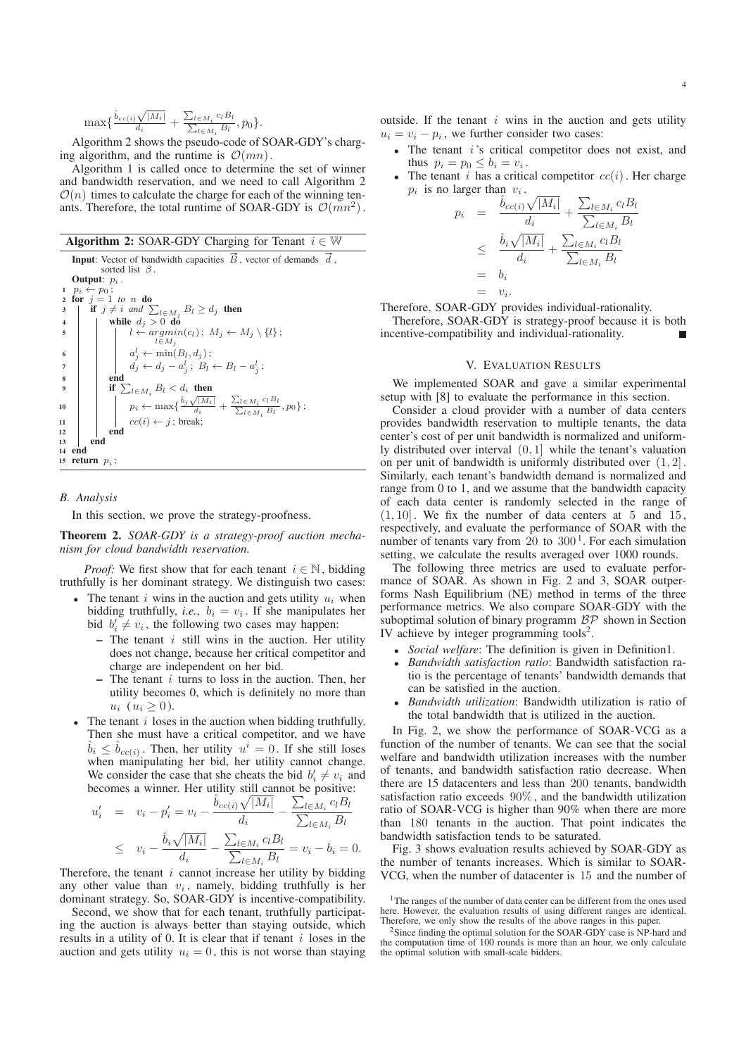$$
\max\{\frac{\hat{b}_{cc(i)}\sqrt{|M_i|}}{d_i} + \frac{\sum_{l \in M_i} c_l B_l}{\sum_{l \in M_i} B_l}, p_0\}.
$$

Algorithm 2 shows the pseudo-code of SOAR-GDY's charging algorithm, and the runtime is  $\mathcal{O}(mn)$ .

Algorithm 1 is called once to determine the set of winner and bandwidth reservation, and we need to call Algorithm 2  $\mathcal{O}(n)$  times to calculate the charge for each of the winning tenants. Therefore, the total runtime of SOAR-GDY is  $\mathcal{O}(mn^2)$ .

|--|

```
Input: Vector of bandwidth capacities \vec{B}, vector of demands \vec{d},
                   sorted list \beta.
      Output: p_i.
  1 p_i \leftarrow p_0;<br>
2 for j = 1 to n do
  3 if j \neq i and \sum_{l \in M_j} B_l \geq d_j then
 4 while dj > 0 do
  \left.\begin{array}{c|c} \vline \texttt{5} & \texttt{ii} & l \leftarrow argmin(c_l)\, ; \; M_j \leftarrow M_j \setminus \{l\} \, ; \end{array}\right\}\begin{array}{ccc} \mathbf{6} & | & | & a_j^l \leftarrow \min(B_l,d_j) \, ; \end{array}7 dj ← dj − a
l
j
; Bl ← Bl − a
l
j
;
 8 end
  \quad \  \  \, \textbf{9} \quad \  \  \, \vert \quad \  \  \, \textbf{if} \,\, \sum_{l \in M_i} B_l < d_i \,\, \, \textbf{then}l \in M_i10 \begin{array}{|c|c|c|c|c|}\n\hline\n & & p_i \leftarrow \max\{\frac{\hat{b}_j\sqrt{|M_i|}}{d_i} + \frac{\sum_{l\in M_i}c_lB_l}{\sum_{l\in M_i}B_l}\right. \hline \end{array}l \in M_i<sup>B</sup>l
                                                                                                         ,p_0\} ;
11 \left|\begin{array}{c} \n\end{array}\right| \left|\begin{array}{c} \ncc(i) \leftarrow j \end{array}\right|; break;
                      end
13 end
14 end<br>15 retu
    return p_i ;
```
### *B. Analysis*

In this section, we prove the strategy-proofness.

Theorem 2. *SOAR-GDY is a strategy-proof auction mechanism for cloud bandwidth reservation.*

*Proof:* We first show that for each tenant  $i \in \mathbb{N}$ , bidding truthfully is her dominant strategy. We distinguish two cases:

- The tenant i wins in the auction and gets utility  $u_i$  when bidding truthfully, *i.e.*,  $b_i = v_i$ . If she manipulates her bid  $b_i \neq v_i$ , the following two cases may happen:
	- $-$  The tenant *i* still wins in the auction. Her utility does not change, because her critical competitor and charge are independent on her bid.
	- $-$  The tenant *i* turns to loss in the auction. Then, her utility becomes 0, which is definitely no more than  $u_i \ (u_i \geq 0).$
- The tenant  $i$  loses in the auction when bidding truthfully. Then she must have a critical competitor, and we have  $\hat{b}_i \leq \hat{b}_{cc(i)}$ . Then, her utility  $u^i = 0$ . If she still loses when manipulating her bid, her utility cannot change. We consider the case that she cheats the bid  $b'_i \neq v_i$  and becomes a winner. Her utility still cannot be positive:

$$
u'_{i} = v_{i} - p'_{i} = v_{i} - \frac{\hat{b}_{cc(i)}\sqrt{|M_{i}|}}{d_{i}} - \frac{\sum_{l \in M_{i}} c_{l}B_{l}}{\sum_{l \in M_{i}} B_{l}}
$$
  

$$
\leq v_{i} - \frac{\hat{b}_{i}\sqrt{|M_{i}|}}{d_{i}} - \frac{\sum_{l \in M_{i}} c_{l}B_{l}}{\sum_{l \in M_{i}} B_{l}} = v_{i} - b_{i} = 0.
$$

Therefore, the tenant  $i$  cannot increase her utility by bidding any other value than  $v_i$ , namely, bidding truthfully is her dominant strategy. So, SOAR-GDY is incentive-compatibility.

Second, we show that for each tenant, truthfully participating the auction is always better than staying outside, which results in a utility of 0. It is clear that if tenant  $i$  loses in the auction and gets utility  $u_i = 0$ , this is not worse than staying outside. If the tenant  $i$  wins in the auction and gets utility  $u_i = v_i - p_i$ , we further consider two cases:

- The tenant  $i$ 's critical competitor does not exist, and thus  $p_i = p_0 \leq b_i = v_i$ .
- The tenant i has a critical competitor  $cc(i)$ . Her charge  $p_i$  is no larger than  $v_i$ .

$$
a_i = \frac{\hat{b}_{cc(i)}\sqrt{|M_i|}}{d_i} + \frac{\sum_{l \in M_i} c_l B_l}{\sum_{l \in M_i} B_l}
$$
  

$$
\leq \frac{\hat{b}_i\sqrt{|M_i|}}{d_i} + \frac{\sum_{l \in M_i} c_l B_l}{\sum_{l \in M_i} B_l}
$$
  

$$
= b_i
$$
  

$$
= v_i.
$$

Therefore, SOAR-GDY provides individual-rationality.

 $\mathcal{D}$ 

Therefore, SOAR-GDY is strategy-proof because it is both incentive-compatibility and individual-rationality.  $\blacksquare$ 

## V. EVALUATION RESULTS

We implemented SOAR and gave a similar experimental setup with [8] to evaluate the performance in this section.

Consider a cloud provider with a number of data centers provides bandwidth reservation to multiple tenants, the data center's cost of per unit bandwidth is normalized and uniformly distributed over interval (0, 1] while the tenant's valuation on per unit of bandwidth is uniformly distributed over  $(1, 2]$ . Similarly, each tenant's bandwidth demand is normalized and range from 0 to 1, and we assume that the bandwidth capacity of each data center is randomly selected in the range of  $(1, 10]$ . We fix the number of data centers at 5 and 15, respectively, and evaluate the performance of SOAR with the number of tenants vary from  $20$  to  $300<sup>1</sup>$ . For each simulation setting, we calculate the results averaged over 1000 rounds.

The following three metrics are used to evaluate performance of SOAR. As shown in Fig. 2 and 3, SOAR outperforms Nash Equilibrium (NE) method in terms of the three performance metrics. We also compare SOAR-GDY with the suboptimal solution of binary programm  $BP$  shown in Section IV achieve by integer programming tools<sup>2</sup>.

- *Social welfare*: The definition is given in Definition1.
- *Bandwidth satisfaction ratio*: Bandwidth satisfaction ratio is the percentage of tenants' bandwidth demands that can be satisfied in the auction.
- *Bandwidth utilization*: Bandwidth utilization is ratio of the total bandwidth that is utilized in the auction.

In Fig. 2, we show the performance of SOAR-VCG as a function of the number of tenants. We can see that the social welfare and bandwidth utilization increases with the number of tenants, and bandwidth satisfaction ratio decrease. When there are 15 datacenters and less than 200 tenants, bandwidth satisfaction ratio exceeds 90% , and the bandwidth utilization ratio of SOAR-VCG is higher than 90% when there are more than 180 tenants in the auction. That point indicates the bandwidth satisfaction tends to be saturated.

Fig. 3 shows evaluation results achieved by SOAR-GDY as the number of tenants increases. Which is similar to SOAR-VCG, when the number of datacenter is 15 and the number of

<sup>&</sup>lt;sup>1</sup>The ranges of the number of data center can be different from the ones used here. However, the evaluation results of using different ranges are identical. Therefore, we only show the results of the above ranges in this paper.

<sup>2</sup>Since finding the optimal solution for the SOAR-GDY case is NP-hard and the computation time of 100 rounds is more than an hour, we only calculate the optimal solution with small-scale bidders.